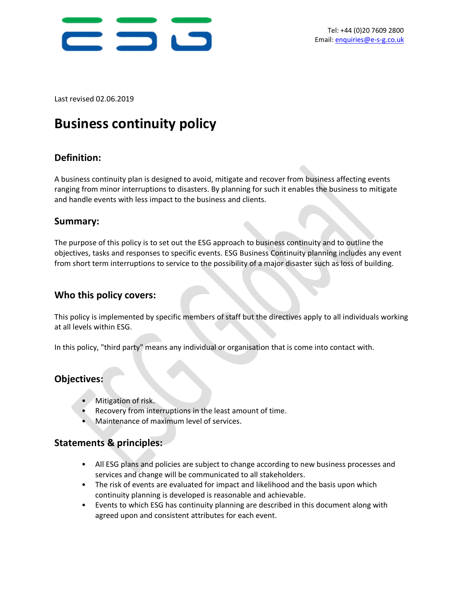

Last revised 02.06.2019

## **Business continuity policy**

## **Definition:**

A business continuity plan is designed to avoid, mitigate and recover from business affecting events ranging from minor interruptions to disasters. By planning for such it enables the business to mitigate and handle events with less impact to the business and clients.

## **Summary:**

The purpose of this policy is to set out the ESG approach to business continuity and to outline the objectives, tasks and responses to specific events. ESG Business Continuity planning includes any event from short term interruptions to service to the possibility of a major disaster such as loss of building.

## **Who this policy covers:**

This policy is implemented by specific members of staff but the directives apply to all individuals working at all levels within ESG.

In this policy, "third party" means any individual or organisation that is come into contact with.

## **Objectives:**

- Mitigation of risk.
- Recovery from interruptions in the least amount of time.
- Maintenance of maximum level of services.

## **Statements & principles:**

- All ESG plans and policies are subject to change according to new business processes and services and change will be communicated to all stakeholders.
- The risk of events are evaluated for impact and likelihood and the basis upon which continuity planning is developed is reasonable and achievable.
- Events to which ESG has continuity planning are described in this document along with agreed upon and consistent attributes for each event.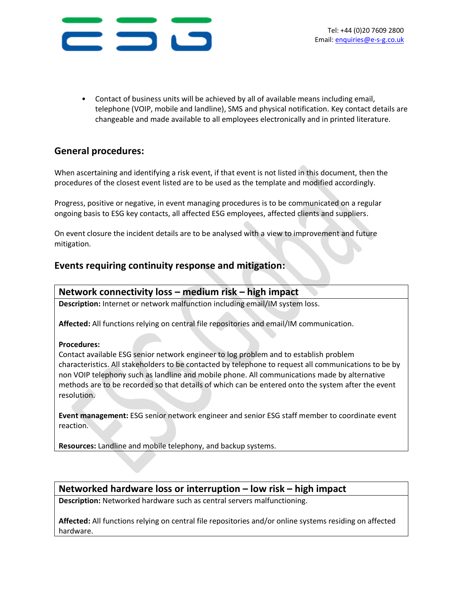

• Contact of business units will be achieved by all of available means including email, telephone (VOIP, mobile and landline), SMS and physical notification. Key contact details are changeable and made available to all employees electronically and in printed literature.

## **General procedures:**

When ascertaining and identifying a risk event, if that event is not listed in this document, then the procedures of the closest event listed are to be used as the template and modified accordingly.

Progress, positive or negative, in event managing procedures is to be communicated on a regular ongoing basis to ESG key contacts, all affected ESG employees, affected clients and suppliers.

On event closure the incident details are to be analysed with a view to improvement and future mitigation.

## **Events requiring continuity response and mitigation:**

#### **Network connectivity loss – medium risk – high impact**

**Description:** Internet or network malfunction including email/IM system loss.

**Affected:** All functions relying on central file repositories and email/IM communication.

#### **Procedures:**

Contact available ESG senior network engineer to log problem and to establish problem characteristics. All stakeholders to be contacted by telephone to request all communications to be by non VOIP telephony such as landline and mobile phone. All communications made by alternative methods are to be recorded so that details of which can be entered onto the system after the event resolution.

**Event management:** ESG senior network engineer and senior ESG staff member to coordinate event reaction.

**Resources:** Landline and mobile telephony, and backup systems.

#### **Networked hardware loss or interruption – low risk – high impact**

**Description:** Networked hardware such as central servers malfunctioning.

**Affected:** All functions relying on central file repositories and/or online systems residing on affected hardware.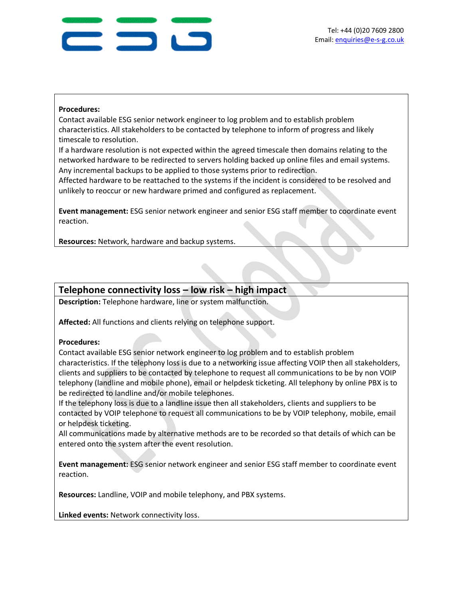## 330

#### **Procedures:**

Contact available ESG senior network engineer to log problem and to establish problem characteristics. All stakeholders to be contacted by telephone to inform of progress and likely timescale to resolution.

If a hardware resolution is not expected within the agreed timescale then domains relating to the networked hardware to be redirected to servers holding backed up online files and email systems. Any incremental backups to be applied to those systems prior to redirection.

Affected hardware to be reattached to the systems if the incident is considered to be resolved and unlikely to reoccur or new hardware primed and configured as replacement.

**Event management:** ESG senior network engineer and senior ESG staff member to coordinate event reaction.

**Resources:** Network, hardware and backup systems.

## **Telephone connectivity loss – low risk – high impact**

**Description:** Telephone hardware, line or system malfunction.

**Affected:** All functions and clients relying on telephone support.

#### **Procedures:**

Contact available ESG senior network engineer to log problem and to establish problem characteristics. If the telephony loss is due to a networking issue affecting VOIP then all stakeholders, clients and suppliers to be contacted by telephone to request all communications to be by non VOIP telephony (landline and mobile phone), email or helpdesk ticketing. All telephony by online PBX is to be redirected to landline and/or mobile telephones.

If the telephony loss is due to a landline issue then all stakeholders, clients and suppliers to be contacted by VOIP telephone to request all communications to be by VOIP telephony, mobile, email or helpdesk ticketing.

All communications made by alternative methods are to be recorded so that details of which can be entered onto the system after the event resolution.

**Event management:** ESG senior network engineer and senior ESG staff member to coordinate event reaction.

**Resources:** Landline, VOIP and mobile telephony, and PBX systems.

**Linked events:** Network connectivity loss.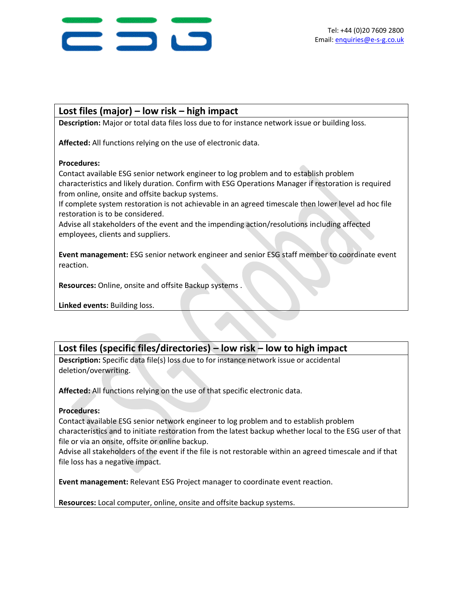

### **Lost files (major) – low risk – high impact**

**Description:** Major or total data files loss due to for instance network issue or building loss.

**Affected:** All functions relying on the use of electronic data.

#### **Procedures:**

Contact available ESG senior network engineer to log problem and to establish problem characteristics and likely duration. Confirm with ESG Operations Manager if restoration is required from online, onsite and offsite backup systems.

If complete system restoration is not achievable in an agreed timescale then lower level ad hoc file restoration is to be considered.

Advise all stakeholders of the event and the impending action/resolutions including affected employees, clients and suppliers.

**Event management:** ESG senior network engineer and senior ESG staff member to coordinate event reaction.

**Resources:** Online, onsite and offsite Backup systems .

**Linked events:** Building loss.

## **Lost files (specific files/directories) – low risk – low to high impact**

**Description:** Specific data file(s) loss due to for instance network issue or accidental deletion/overwriting.

**Affected:** All functions relying on the use of that specific electronic data.

#### **Procedures:**

Contact available ESG senior network engineer to log problem and to establish problem characteristics and to initiate restoration from the latest backup whether local to the ESG user of that file or via an onsite, offsite or online backup.

Advise all stakeholders of the event if the file is not restorable within an agreed timescale and if that file loss has a negative impact.

**Event management:** Relevant ESG Project manager to coordinate event reaction.

**Resources:** Local computer, online, onsite and offsite backup systems.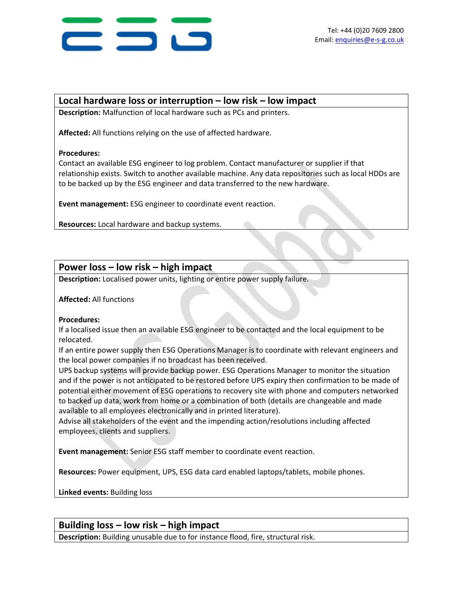

#### **Local hardware loss or interruption – low risk – low impact**

**Description:** Malfunction of local hardware such as PCs and printers.

**Affected:** All functions relying on the use of affected hardware.

#### **Procedures:**

Contact an available ESG engineer to log problem. Contact manufacturer or supplier if that relationship exists. Switch to another available machine. Any data repositories such as local HDDs are to be backed up by the ESG engineer and data transferred to the new hardware.

**Event management:** ESG engineer to coordinate event reaction.

**Resources:** Local hardware and backup systems.

## **Power loss – low risk – high impact**

**Description:** Localised power units, lighting or entire power supply failure.

**Affected:** All functions

#### **Procedures:**

If a localised issue then an available ESG engineer to be contacted and the local equipment to be relocated.

If an entire power supply then ESG Operations Manager is to coordinate with relevant engineers and the local power companies if no broadcast has been received.

UPS backup systems will provide backup power. ESG Operations Manager to monitor the situation and if the power is not anticipated to be restored before UPS expiry then confirmation to be made of potential either movement of ESG operations to recovery site with phone and computers networked to backed up data, work from home or a combination of both (details are changeable and made available to all employees electronically and in printed literature).

Advise all stakeholders of the event and the impending action/resolutions including affected employees, clients and suppliers.

**Event management:** Senior ESG staff member to coordinate event reaction.

**Resources:** Power equipment, UPS, ESG data card enabled laptops/tablets, mobile phones.

**Linked events:** Building loss

#### **Building loss – low risk – high impact**

**Description:** Building unusable due to for instance flood, fire, structural risk.